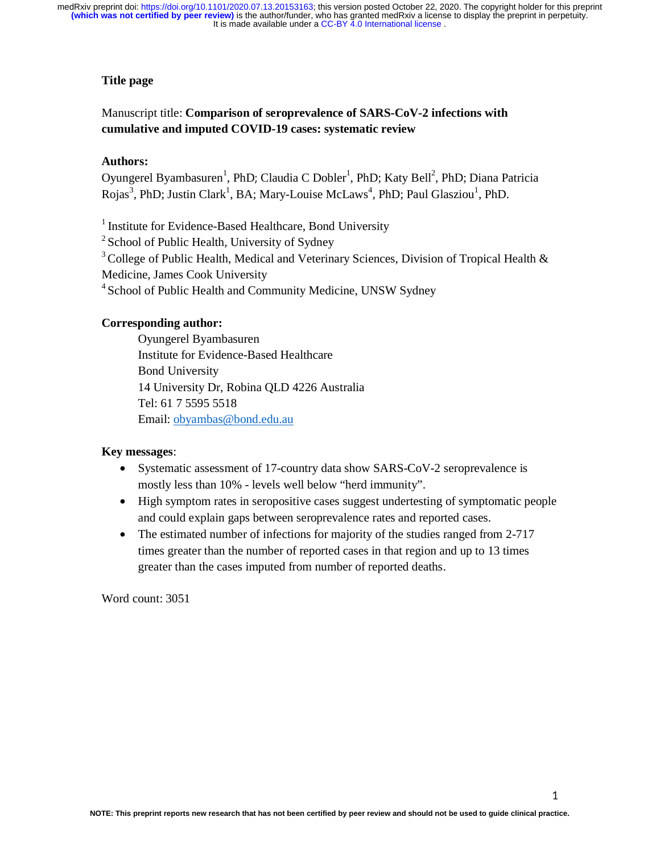## **Title page**

# Manuscript title: **Comparison of seroprevalence of SARS-CoV-2 infections with cumulative and imputed COVID-19 cases: systematic review**

### **Authors:**

Oyungerel Byambasuren<sup>1</sup>, PhD; Claudia C Dobler<sup>1</sup>, PhD; Katy Bell<sup>2</sup>, PhD; Diana Patricia Rojas<sup>3</sup>, PhD; Justin Clark<sup>1</sup>, BA; Mary-Louise McLaws<sup>4</sup>, PhD; Paul Glasziou<sup>1</sup>, PhD.

<sup>1</sup> Institute for Evidence-Based Healthcare, Bond University

 $2$  School of Public Health, University of Sydney

 $3$  College of Public Health, Medical and Veterinary Sciences, Division of Tropical Health  $\&$ 

Medicine, James Cook University

<sup>4</sup> School of Public Health and Community Medicine, UNSW Sydney

### **Corresponding author:**

Oyungerel Byambasuren Institute for Evidence-Based Healthcare Bond University 14 University Dr, Robina QLD 4226 Australia Tel: 61 7 5595 5518 Email: obyambas@bond.edu.au

### **Key messages**:

- Systematic assessment of 17-country data show SARS-CoV-2 seroprevalence is mostly less than 10% - levels well below "herd immunity".
- High symptom rates in seropositive cases suggest undertesting of symptomatic people and could explain gaps between seroprevalence rates and reported cases.
- The estimated number of infections for majority of the studies ranged from 2-717 times greater than the number of reported cases in that region and up to 13 times greater than the cases imputed from number of reported deaths.

Word count: 3051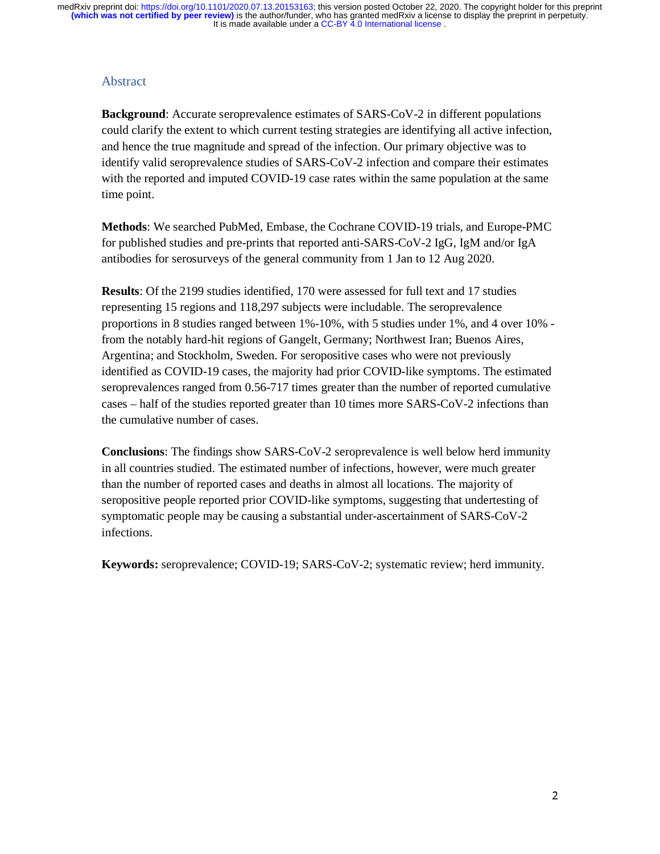## Abstract

**Background**: Accurate seroprevalence estimates of SARS-CoV-2 in different populations could clarify the extent to which current testing strategies are identifying all active infection, and hence the true magnitude and spread of the infection. Our primary objective was to identify valid seroprevalence studies of SARS-CoV-2 infection and compare their estimates with the reported and imputed COVID-19 case rates within the same population at the same time point.

**Methods**: We searched PubMed, Embase, the Cochrane COVID-19 trials, and Europe-PMC for published studies and pre-prints that reported anti-SARS-CoV-2 IgG, IgM and/or IgA antibodies for serosurveys of the general community from 1 Jan to 12 Aug 2020.

**Results**: Of the 2199 studies identified, 170 were assessed for full text and 17 studies representing 15 regions and 118,297 subjects were includable. The seroprevalence proportions in 8 studies ranged between 1%-10%, with 5 studies under 1%, and 4 over 10% from the notably hard-hit regions of Gangelt, Germany; Northwest Iran; Buenos Aires, Argentina; and Stockholm, Sweden. For seropositive cases who were not previously identified as COVID-19 cases, the majority had prior COVID-like symptoms. The estimated seroprevalences ranged from 0.56-717 times greater than the number of reported cumulative cases – half of the studies reported greater than 10 times more SARS-CoV-2 infections than the cumulative number of cases.

**Conclusions**: The findings show SARS-CoV-2 seroprevalence is well below herd immunity in all countries studied. The estimated number of infections, however, were much greater than the number of reported cases and deaths in almost all locations. The majority of seropositive people reported prior COVID-like symptoms, suggesting that undertesting of symptomatic people may be causing a substantial under-ascertainment of SARS-CoV-2 infections.

**Keywords:** seroprevalence; COVID-19; SARS-CoV-2; systematic review; herd immunity.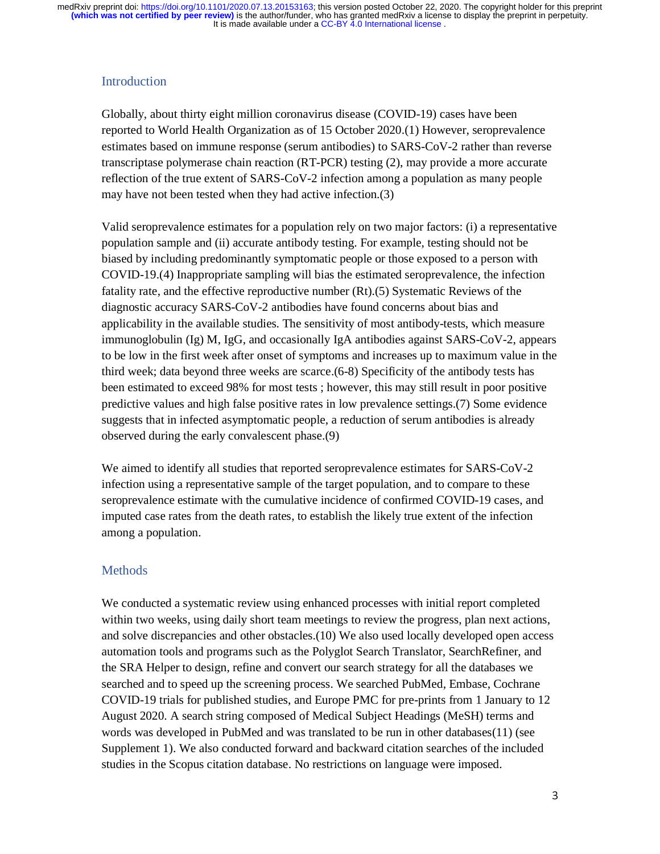# **Introduction**

Globally, about thirty eight million coronavirus disease (COVID-19) cases have been reported to World Health Organization as of 15 October 2020.(1) However, seroprevalence estimates based on immune response (serum antibodies) to SARS-CoV-2 rather than reverse transcriptase polymerase chain reaction (RT-PCR) testing (2), may provide a more accurate reflection of the true extent of SARS-CoV-2 infection among a population as many people may have not been tested when they had active infection.(3)

Valid seroprevalence estimates for a population rely on two major factors: (i) a representative population sample and (ii) accurate antibody testing. For example, testing should not be biased by including predominantly symptomatic people or those exposed to a person with COVID-19.(4) Inappropriate sampling will bias the estimated seroprevalence, the infection fatality rate, and the effective reproductive number (Rt).(5) Systematic Reviews of the diagnostic accuracy SARS-CoV-2 antibodies have found concerns about bias and applicability in the available studies. The sensitivity of most antibody-tests, which measure immunoglobulin (Ig) M, IgG, and occasionally IgA antibodies against SARS-CoV-2, appears to be low in the first week after onset of symptoms and increases up to maximum value in the third week; data beyond three weeks are scarce.(6-8) Specificity of the antibody tests has been estimated to exceed 98% for most tests ; however, this may still result in poor positive predictive values and high false positive rates in low prevalence settings.(7) Some evidence suggests that in infected asymptomatic people, a reduction of serum antibodies is already observed during the early convalescent phase.(9)

We aimed to identify all studies that reported seroprevalence estimates for SARS-CoV-2 infection using a representative sample of the target population, and to compare to these seroprevalence estimate with the cumulative incidence of confirmed COVID-19 cases, and imputed case rates from the death rates, to establish the likely true extent of the infection among a population.

# **Methods**

We conducted a systematic review using enhanced processes with initial report completed within two weeks, using daily short team meetings to review the progress, plan next actions, and solve discrepancies and other obstacles.(10) We also used locally developed open access automation tools and programs such as the Polyglot Search Translator, SearchRefiner, and the SRA Helper to design, refine and convert our search strategy for all the databases we searched and to speed up the screening process. We searched PubMed, Embase, Cochrane COVID-19 trials for published studies, and Europe PMC for pre-prints from 1 January to 12 August 2020. A search string composed of Medical Subject Headings (MeSH) terms and words was developed in PubMed and was translated to be run in other databases(11) (see Supplement 1). We also conducted forward and backward citation searches of the included studies in the Scopus citation database. No restrictions on language were imposed.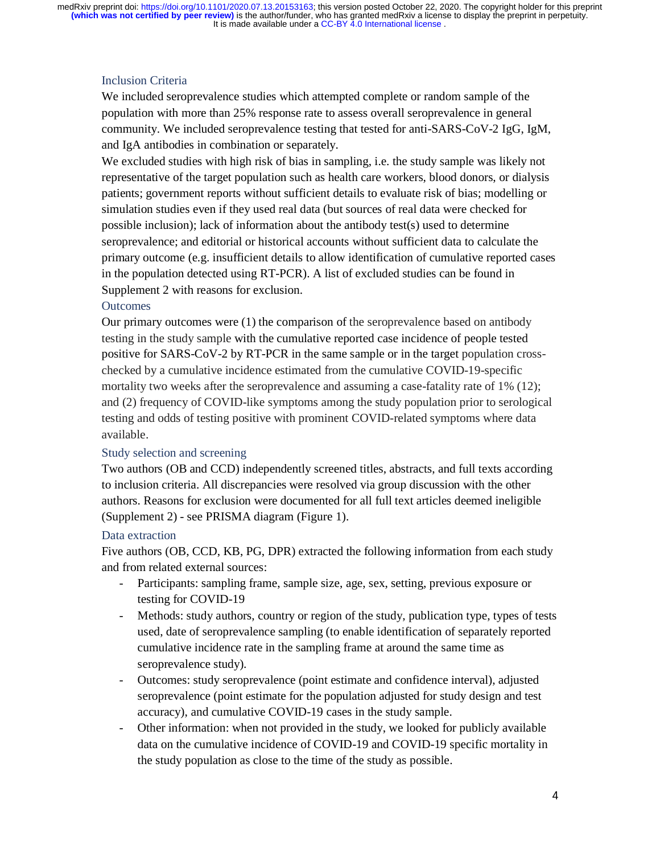# Inclusion Criteria

We included seroprevalence studies which attempted complete or random sample of the population with more than 25% response rate to assess overall seroprevalence in general community. We included seroprevalence testing that tested for anti-SARS-CoV-2 IgG, IgM, and IgA antibodies in combination or separately.

We excluded studies with high risk of bias in sampling, i.e. the study sample was likely not representative of the target population such as health care workers, blood donors, or dialysis patients; government reports without sufficient details to evaluate risk of bias; modelling or simulation studies even if they used real data (but sources of real data were checked for possible inclusion); lack of information about the antibody test(s) used to determine seroprevalence; and editorial or historical accounts without sufficient data to calculate the primary outcome (e.g. insufficient details to allow identification of cumulative reported cases in the population detected using RT-PCR). A list of excluded studies can be found in Supplement 2 with reasons for exclusion.

## **Outcomes**

Our primary outcomes were (1) the comparison of the seroprevalence based on antibody testing in the study sample with the cumulative reported case incidence of people tested positive for SARS-CoV-2 by RT-PCR in the same sample or in the target population crosschecked by a cumulative incidence estimated from the cumulative COVID-19-specific mortality two weeks after the seroprevalence and assuming a case-fatality rate of 1% (12); and (2) frequency of COVID-like symptoms among the study population prior to serological testing and odds of testing positive with prominent COVID-related symptoms where data available.

## Study selection and screening

Two authors (OB and CCD) independently screened titles, abstracts, and full texts according to inclusion criteria. All discrepancies were resolved via group discussion with the other authors. Reasons for exclusion were documented for all full text articles deemed ineligible (Supplement 2) - see PRISMA diagram (Figure 1).

#### Data extraction

Five authors (OB, CCD, KB, PG, DPR) extracted the following information from each study and from related external sources:

- Participants: sampling frame, sample size, age, sex, setting, previous exposure or testing for COVID-19
- Methods: study authors, country or region of the study, publication type, types of tests used, date of seroprevalence sampling (to enable identification of separately reported cumulative incidence rate in the sampling frame at around the same time as seroprevalence study).
- Outcomes: study seroprevalence (point estimate and confidence interval), adjusted seroprevalence (point estimate for the population adjusted for study design and test accuracy), and cumulative COVID-19 cases in the study sample.
- Other information: when not provided in the study, we looked for publicly available data on the cumulative incidence of COVID-19 and COVID-19 specific mortality in the study population as close to the time of the study as possible.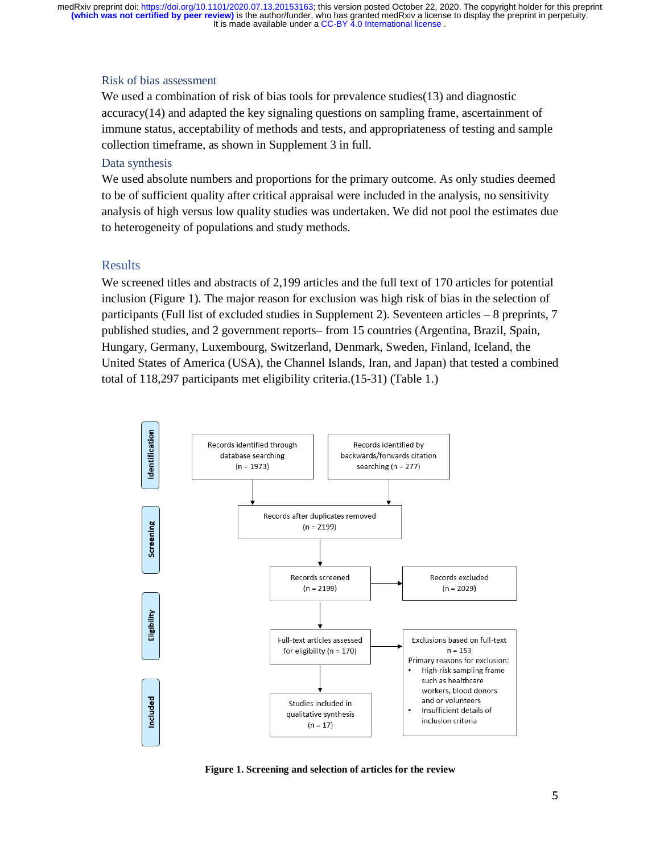It is made available under a CC-BY 4.0 International license. **(which was not certified by peer review)** is the author/funder, who has granted medRxiv a license to display the preprint in perpetuity. medRxiv preprint doi: [https://doi.org/10.1101/2020.07.13.20153163;](https://doi.org/10.1101/2020.07.13.20153163) this version posted October 22, 2020. The copyright holder for this preprint

#### Risk of bias assessment

We used a combination of risk of bias tools for prevalence studies(13) and diagnostic accuracy(14) and adapted the key signaling questions on sampling frame, ascertainment of immune status, acceptability of methods and tests, and appropriateness of testing and sample collection timeframe, as shown in Supplement 3 in full.

#### Data synthesis

We used absolute numbers and proportions for the primary outcome. As only studies deemed to be of sufficient quality after critical appraisal were included in the analysis, no sensitivity analysis of high versus low quality studies was undertaken. We did not pool the estimates due to heterogeneity of populations and study methods.

### Results

We screened titles and abstracts of 2,199 articles and the full text of 170 articles for potential inclusion (Figure 1). The major reason for exclusion was high risk of bias in the selection of participants (Full list of excluded studies in Supplement 2). Seventeen articles – 8 preprints, 7 published studies, and 2 government reports– from 15 countries (Argentina, Brazil, Spain, Hungary, Germany, Luxembourg, Switzerland, Denmark, Sweden, Finland, Iceland, the United States of America (USA), the Channel Islands, Iran, and Japan) that tested a combined total of 118,297 participants met eligibility criteria.(15-31) (Table 1.)



**Figure 1. Screening and selection of articles for the review**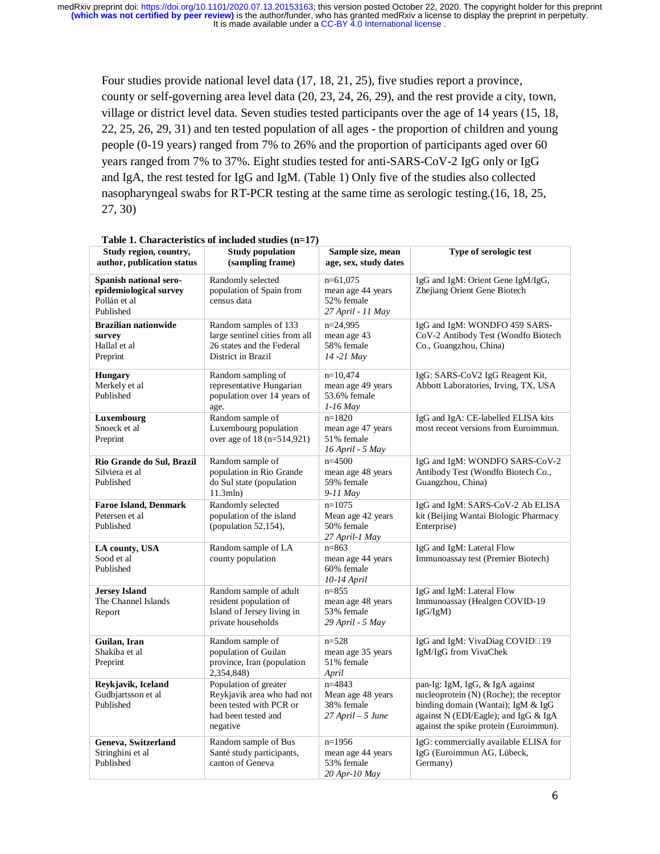Four studies provide national level data (17, 18, 21, 25), five studies report a province, county or self-governing area level data (20, 23, 24, 26, 29), and the rest provide a city, town, village or district level data. Seven studies tested participants over the age of 14 years (15, 18, 22, 25, 26, 29, 31) and ten tested population of all ages - the proportion of children and young people (0-19 years) ranged from 7% to 26% and the proportion of participants aged over 60 years ranged from 7% to 37%. Eight studies tested for anti-SARS-CoV-2 IgG only or IgG and IgA, the rest tested for IgG and IgM. (Table 1) Only five of the studies also collected nasopharyngeal swabs for RT-PCR testing at the same time as serologic testing.(16, 18, 25, 27, 30)

| Study region, country,<br>author, publication status                          | <b>Study population</b><br>(sampling frame)                                                                       | Sample size, mean<br>age, sex, study dates                         | Type of serologic test                                                                                                                                                                             |  |
|-------------------------------------------------------------------------------|-------------------------------------------------------------------------------------------------------------------|--------------------------------------------------------------------|----------------------------------------------------------------------------------------------------------------------------------------------------------------------------------------------------|--|
| Spanish national sero-<br>epidemiological survey<br>Pollán et al<br>Published | Randomly selected<br>population of Spain from<br>census data                                                      | $n=61,075$<br>mean age 44 years<br>52% female<br>27 April - 11 May | IgG and IgM: Orient Gene IgM/IgG,<br>Zhejiang Orient Gene Biotech                                                                                                                                  |  |
| <b>Brazilian nationwide</b><br>survey<br>Hallal et al<br>Preprint             | Random samples of 133<br>large sentinel cities from all<br>26 states and the Federal<br>District in Brazil        | $n=24.995$<br>mean age 43<br>58% female<br>14 -21 May              | IgG and IgM: WONDFO 459 SARS-<br>CoV-2 Antibody Test (Wondfo Biotech<br>Co., Guangzhou, China)                                                                                                     |  |
| <b>Hungary</b><br>Merkely et al<br>Published                                  | Random sampling of<br>representative Hungarian<br>population over 14 years of<br>age.                             | $n=10,474$<br>mean age 49 years<br>53.6% female<br>1-16 May        | IgG: SARS-CoV2 IgG Reagent Kit,<br>Abbott Laboratories, Irving, TX, USA                                                                                                                            |  |
| Luxembourg<br>Snoeck et al<br>Preprint                                        | Random sample of<br>Luxembourg population<br>over age of 18 (n=514,921)                                           | $n=1820$<br>mean age 47 years<br>51% female<br>16 April - 5 May    | IgG and IgA: CE-labelled ELISA kits<br>most recent versions from Euroimmun.                                                                                                                        |  |
| Rio Grande do Sul, Brazil<br>Silviera et al<br>Published                      | Random sample of<br>population in Rio Grande<br>do Sul state (population<br>11.3mln)                              | $n=4500$<br>mean age 48 years<br>59% female<br>9-11 May            | IgG and IgM: WONDFO SARS-CoV-2<br>Antibody Test (Wondfo Biotech Co.,<br>Guangzhou, China)                                                                                                          |  |
| <b>Faroe Island, Denmark</b><br>Petersen et al<br>Published                   | Randomly selected<br>population of the island<br>(population 52,154),                                             | $n=1075$<br>Mean age 42 years<br>50% female<br>27 April-1 May      | IgG and IgM: SARS-CoV-2 Ab ELISA<br>kit (Beijing Wantai Biologic Pharmacy<br>Enterprise)                                                                                                           |  |
| LA county, USA<br>Sood et al<br>Published                                     | Random sample of LA<br>county population                                                                          | $n = 863$<br>mean age 44 years<br>60% female<br>10-14 April        | IgG and IgM: Lateral Flow<br>Immunoassay test (Premier Biotech)                                                                                                                                    |  |
| <b>Jersey Island</b><br>The Channel Islands<br>Report                         | Random sample of adult<br>resident population of<br>Island of Jersey living in<br>private households              | $n = 855$<br>mean age 48 years<br>53% female<br>29 April - 5 May   | IgG and IgM: Lateral Flow<br>Immunoassay (Healgen COVID-19<br>IgG/IgM)                                                                                                                             |  |
| Guilan, Iran<br>Shakiba et al<br>Preprint                                     | Random sample of<br>population of Guilan<br>province, Iran (population<br>2,354,848)                              | $n=528$<br>mean age 35 years<br>51% female<br>April                | IgG and IgM: VivaDiag COVID□19<br>IgM/IgG from VivaChek                                                                                                                                            |  |
| Reykjavik, Iceland<br>Gudbjartsson et al<br>Published                         | Population of greater<br>Reykjavik area who had not<br>been tested with PCR or<br>had been tested and<br>negative | $n=4843$<br>Mean age 48 years<br>38% female<br>27 April – 5 June   | pan-Ig: IgM, IgG, & IgA against<br>nucleoprotein (N) (Roche); the receptor<br>binding domain (Wantai); IgM & IgG<br>against N (EDI/Eagle); and IgG & IgA<br>against the spike protein (Euroimmun). |  |
| Geneva, Switzerland<br>Stringhini et al<br>Published                          | Random sample of Bus<br>Santé study participants,<br>canton of Geneva                                             | $n=1956$<br>mean age 44 years<br>53% female<br>$20$ Apr-10 May     | IgG: commercially available ELISA for<br>IgG (Euroimmun AG, Lübeck,<br>Germany)                                                                                                                    |  |

#### **Table 1. Characteristics of included studies (n=17)**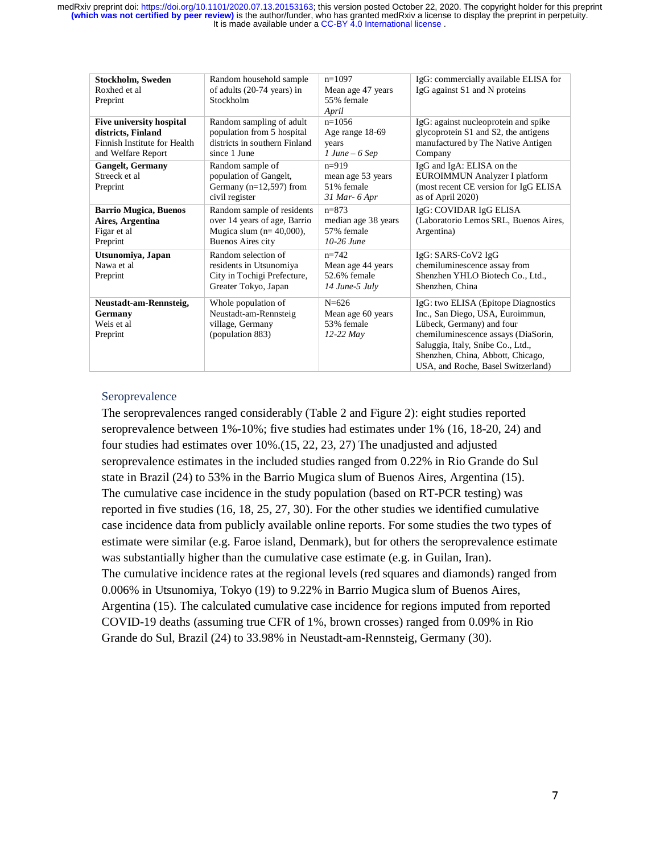| Stockholm, Sweden<br>Roxhed et al                                                                           | Random household sample<br>of adults (20-74 years) in                                                                | $n=1097$<br>Mean age 47 years                                      | IgG: commercially available ELISA for<br>IgG against S1 and N proteins                                                                                                                                                                                      |
|-------------------------------------------------------------------------------------------------------------|----------------------------------------------------------------------------------------------------------------------|--------------------------------------------------------------------|-------------------------------------------------------------------------------------------------------------------------------------------------------------------------------------------------------------------------------------------------------------|
| Preprint                                                                                                    | Stockholm                                                                                                            | 55% female<br>April                                                |                                                                                                                                                                                                                                                             |
| <b>Five university hospital</b><br>districts, Finland<br>Finnish Institute for Health<br>and Welfare Report | Random sampling of adult<br>population from 5 hospital<br>districts in southern Finland<br>since 1 June              | $n=1056$<br>Age range 18-69<br>years<br>$1 June - 6 Sep$           | IgG: against nucleoprotein and spike<br>glycoprotein S1 and S2, the antigens<br>manufactured by The Native Antigen<br>Company                                                                                                                               |
| <b>Gangelt, Germany</b><br>Streeck et al<br>Preprint                                                        | Random sample of<br>population of Gangelt,<br>Germany ( $n=12,597$ ) from<br>civil register                          | $n=919$<br>mean age 53 years<br>51% female<br>$31$ Mar- $6$ Apr    | IgG and IgA: ELISA on the<br>EUROIMMUN Analyzer I platform<br>(most recent CE version for IgG ELISA)<br>as of April 2020)                                                                                                                                   |
| <b>Barrio Mugica, Buenos</b><br>Aires, Argentina<br>Figar et al<br>Preprint                                 | Random sample of residents<br>over 14 years of age, Barrio<br>Mugica slum $(n=40,000)$ ,<br><b>Buenos Aires city</b> | $n = 873$<br>median age 38 years<br>57% female<br>$10-26$ June     | IgG: COVIDAR IgG ELISA<br>(Laboratorio Lemos SRL, Buenos Aires,<br>Argentina)                                                                                                                                                                               |
| Utsunomiya, Japan<br>Nawa et al<br>Preprint                                                                 | Random selection of<br>residents in Utsunomiya<br>City in Tochigi Prefecture,<br>Greater Tokyo, Japan                | $n = 742$<br>Mean age 44 years<br>52.6% female<br>$14$ June-5 July | IgG: SARS-CoV2 IgG<br>chemiluminescence assay from<br>Shenzhen YHLO Biotech Co., Ltd.,<br>Shenzhen, China                                                                                                                                                   |
| Neustadt-am-Rennsteig,<br>Germany<br>Weis et al.<br>Preprint                                                | Whole population of<br>Neustadt-am-Rennsteig<br>village, Germany<br>(population 883)                                 | $N = 626$<br>Mean age 60 years<br>53% female<br>$12-22$ May        | IgG: two ELISA (Epitope Diagnostics<br>Inc., San Diego, USA, Euroimmun,<br>Lübeck, Germany) and four<br>chemiluminescence assays (DiaSorin,<br>Saluggia, Italy, Snibe Co., Ltd.,<br>Shenzhen, China, Abbott, Chicago,<br>USA, and Roche, Basel Switzerland) |

## Seroprevalence

The seroprevalences ranged considerably (Table 2 and Figure 2): eight studies reported seroprevalence between 1%-10%; five studies had estimates under 1% (16, 18-20, 24) and four studies had estimates over 10%.(15, 22, 23, 27) The unadjusted and adjusted seroprevalence estimates in the included studies ranged from 0.22% in Rio Grande do Sul state in Brazil (24) to 53% in the Barrio Mugica slum of Buenos Aires, Argentina (15). The cumulative case incidence in the study population (based on RT-PCR testing) was reported in five studies (16, 18, 25, 27, 30). For the other studies we identified cumulative case incidence data from publicly available online reports. For some studies the two types of estimate were similar (e.g. Faroe island, Denmark), but for others the seroprevalence estimate was substantially higher than the cumulative case estimate (e.g. in Guilan, Iran). The cumulative incidence rates at the regional levels (red squares and diamonds) ranged from 0.006% in Utsunomiya, Tokyo (19) to 9.22% in Barrio Mugica slum of Buenos Aires, Argentina (15). The calculated cumulative case incidence for regions imputed from reported COVID-19 deaths (assuming true CFR of 1%, brown crosses) ranged from 0.09% in Rio Grande do Sul, Brazil (24) to 33.98% in Neustadt-am-Rennsteig, Germany (30).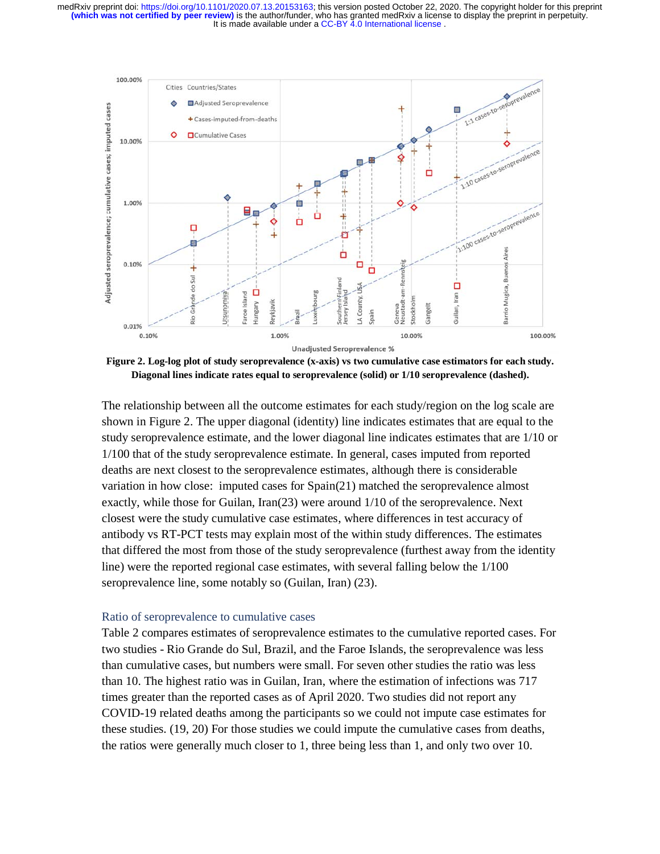It is made available under a CC-BY 4.0 International license. **(which was not certified by peer review)** is the author/funder, who has granted medRxiv a license to display the preprint in perpetuity. medRxiv preprint doi: [https://doi.org/10.1101/2020.07.13.20153163;](https://doi.org/10.1101/2020.07.13.20153163) this version posted October 22, 2020. The copyright holder for this preprint



**Figure 2. Log-log plot of study seroprevalence (x-axis) vs two cumulative case estimators for each study. Diagonal lines indicate rates equal to seroprevalence (solid) or 1/10 seroprevalence (dashed).**

The relationship between all the outcome estimates for each study/region on the log scale are shown in Figure 2. The upper diagonal (identity) line indicates estimates that are equal to the study seroprevalence estimate, and the lower diagonal line indicates estimates that are 1/10 or 1/100 that of the study seroprevalence estimate. In general, cases imputed from reported deaths are next closest to the seroprevalence estimates, although there is considerable variation in how close: imputed cases for Spain(21) matched the seroprevalence almost exactly, while those for Guilan, Iran(23) were around 1/10 of the seroprevalence. Next closest were the study cumulative case estimates, where differences in test accuracy of antibody vs RT-PCT tests may explain most of the within study differences. The estimates that differed the most from those of the study seroprevalence (furthest away from the identity line) were the reported regional case estimates, with several falling below the 1/100 seroprevalence line, some notably so (Guilan, Iran) (23).

#### Ratio of seroprevalence to cumulative cases

Table 2 compares estimates of seroprevalence estimates to the cumulative reported cases. For two studies - Rio Grande do Sul, Brazil, and the Faroe Islands, the seroprevalence was less than cumulative cases, but numbers were small. For seven other studies the ratio was less than 10. The highest ratio was in Guilan, Iran, where the estimation of infections was 717 times greater than the reported cases as of April 2020. Two studies did not report any COVID-19 related deaths among the participants so we could not impute case estimates for these studies. (19, 20) For those studies we could impute the cumulative cases from deaths, the ratios were generally much closer to 1, three being less than 1, and only two over 10.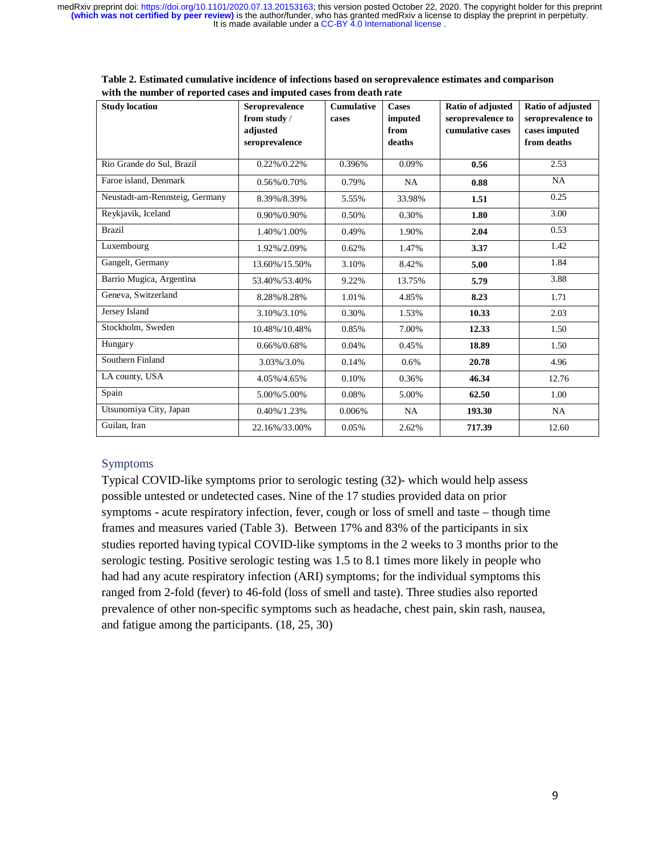| <b>Study location</b>          | <b>Seroprevalence</b><br>from study /<br>adjusted<br>seroprevalence | <b>Cumulative</b><br>cases | <b>Cases</b><br>imputed<br>from<br>deaths | Ratio of adjusted<br>seroprevalence to<br>cumulative cases | Ratio of adjusted<br>seroprevalence to<br>cases imputed<br>from deaths |
|--------------------------------|---------------------------------------------------------------------|----------------------------|-------------------------------------------|------------------------------------------------------------|------------------------------------------------------------------------|
| Rio Grande do Sul, Brazil      | 0.22%/0.22%                                                         | 0.396%                     | 0.09%                                     | 0.56                                                       | 2.53                                                                   |
| Faroe island, Denmark          | 0.56%/0.70%                                                         | 0.79%                      | <b>NA</b>                                 | 0.88                                                       | <b>NA</b>                                                              |
| Neustadt-am-Rennsteig, Germany | 8.39%/8.39%                                                         | 5.55%                      | 33.98%                                    | 1.51                                                       | 0.25                                                                   |
| Reykjavik, Iceland             | 0.90%/0.90%                                                         | 0.50%                      | 0.30%                                     | 1.80                                                       | 3.00                                                                   |
| <b>Brazil</b>                  | 1.40%/1.00%                                                         | 0.49%                      | 1.90%                                     | 2.04                                                       | 0.53                                                                   |
| Luxembourg                     | 1.92%/2.09%                                                         | 0.62%                      | 1.47%                                     | 3.37                                                       | 1.42                                                                   |
| Gangelt, Germany               | 13.60%/15.50%                                                       | 3.10%                      | 8.42%                                     | 5.00                                                       | 1.84                                                                   |
| Barrio Mugica, Argentina       | 53.40%/53.40%                                                       | 9.22%                      | 13.75%                                    | 5.79                                                       | 3.88                                                                   |
| Geneva, Switzerland            | 8.28%/8.28%                                                         | 1.01%                      | 4.85%                                     | 8.23                                                       | 1.71                                                                   |
| Jersey Island                  | 3.10%/3.10%                                                         | 0.30%                      | 1.53%                                     | 10.33                                                      | 2.03                                                                   |
| Stockholm, Sweden              | 10.48%/10.48%                                                       | 0.85%                      | 7.00%                                     | 12.33                                                      | 1.50                                                                   |
| Hungary                        | 0.66%/0.68%                                                         | 0.04%                      | 0.45%                                     | 18.89                                                      | 1.50                                                                   |
| Southern Finland               | 3.03%/3.0%                                                          | 0.14%                      | $0.6\%$                                   | 20.78                                                      | 4.96                                                                   |
| LA county, USA                 | 4.05%/4.65%                                                         | 0.10%                      | 0.36%                                     | 46.34                                                      | 12.76                                                                  |
| Spain                          | 5.00%/5.00%                                                         | 0.08%                      | 5.00%                                     | 62.50                                                      | 1.00                                                                   |
| Utsunomiya City, Japan         | 0.40%/1.23%                                                         | 0.006%                     | <b>NA</b>                                 | 193.30                                                     | NA                                                                     |
| Guilan, Iran                   | 22.16%/33.00%                                                       | 0.05%                      | 2.62%                                     | 717.39                                                     | 12.60                                                                  |

**Table 2. Estimated cumulative incidence of infections based on seroprevalence estimates and comparison with the number of reported cases and imputed cases from death rate** 

## Symptoms

Typical COVID-like symptoms prior to serologic testing (32)- which would help assess possible untested or undetected cases. Nine of the 17 studies provided data on prior symptoms - acute respiratory infection, fever, cough or loss of smell and taste – though time frames and measures varied (Table 3). Between 17% and 83% of the participants in six studies reported having typical COVID-like symptoms in the 2 weeks to 3 months prior to the serologic testing. Positive serologic testing was 1.5 to 8.1 times more likely in people who had had any acute respiratory infection (ARI) symptoms; for the individual symptoms this ranged from 2-fold (fever) to 46-fold (loss of smell and taste). Three studies also reported prevalence of other non-specific symptoms such as headache, chest pain, skin rash, nausea, and fatigue among the participants. (18, 25, 30)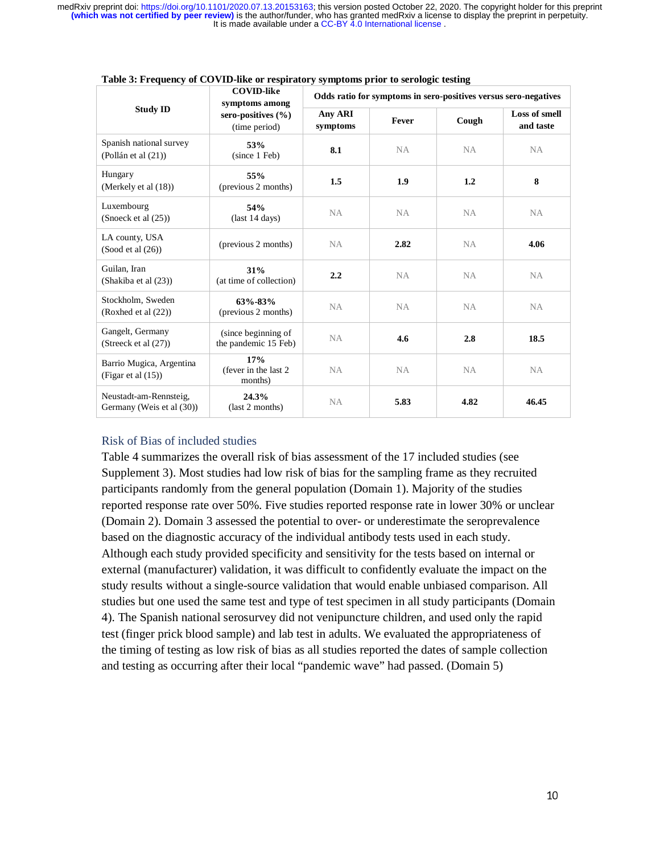| <b>Study ID</b>                                     | <b>COVID-like</b><br>symptoms among<br>sero-positives $(\% )$<br>(time period) | Odds ratio for symptoms in sero-positives versus sero-negatives |           |           |                            |
|-----------------------------------------------------|--------------------------------------------------------------------------------|-----------------------------------------------------------------|-----------|-----------|----------------------------|
|                                                     |                                                                                | Any ARI<br>symptoms                                             | Fever     | Cough     | Loss of smell<br>and taste |
| Spanish national survey<br>(Pollán et al (21))      | 53%<br>(since 1 Feb)                                                           | 8.1                                                             | <b>NA</b> | <b>NA</b> | NA.                        |
| Hungary<br>(Merkely et al $(18)$ )                  | 55%<br>(previous 2 months)                                                     | 1.5                                                             | 1.9       | 1.2       | 8                          |
| Luxembourg<br>(Snoeck et al (25))                   | 54%<br>$\frac{14 \text{ days}}{2}$                                             | NA                                                              | NA        | <b>NA</b> | NA                         |
| LA county, USA<br>(Sood et al (26))                 | (previous 2 months)                                                            | NA                                                              | 2.82      | <b>NA</b> | 4.06                       |
| Guilan, Iran<br>(Shakiba et al (23))                | 31%<br>(at time of collection)                                                 | 2.2                                                             | NA        | <b>NA</b> | <b>NA</b>                  |
| Stockholm, Sweden<br>(Roxhed et al (22))            | $63\% - 83\%$<br>(previous 2 months)                                           | <b>NA</b>                                                       | <b>NA</b> | <b>NA</b> | NA                         |
| Gangelt, Germany<br>(Streeck et al $(27)$ )         | (since beginning of<br>the pandemic 15 Feb)                                    | <b>NA</b>                                                       | 4.6       | 2.8       | 18.5                       |
| Barrio Mugica, Argentina<br>(Figar et al $(15)$ )   | 17%<br>(fever in the last 2)<br>months)                                        | NA.                                                             | <b>NA</b> | NA.       | NA.                        |
| Neustadt-am-Rennsteig,<br>Germany (Weis et al (30)) | 24.3%<br>(last 2 months)                                                       | <b>NA</b>                                                       | 5.83      | 4.82      | 46.45                      |

#### **Table 3: Frequency of COVID-like or respiratory symptoms prior to serologic testing**

### Risk of Bias of included studies

Table 4 summarizes the overall risk of bias assessment of the 17 included studies (see Supplement 3). Most studies had low risk of bias for the sampling frame as they recruited participants randomly from the general population (Domain 1). Majority of the studies reported response rate over 50%. Five studies reported response rate in lower 30% or unclear (Domain 2). Domain 3 assessed the potential to over- or underestimate the seroprevalence based on the diagnostic accuracy of the individual antibody tests used in each study. Although each study provided specificity and sensitivity for the tests based on internal or external (manufacturer) validation, it was difficult to confidently evaluate the impact on the study results without a single-source validation that would enable unbiased comparison. All studies but one used the same test and type of test specimen in all study participants (Domain 4). The Spanish national serosurvey did not venipuncture children, and used only the rapid test (finger prick blood sample) and lab test in adults. We evaluated the appropriateness of the timing of testing as low risk of bias as all studies reported the dates of sample collection and testing as occurring after their local "pandemic wave" had passed. (Domain 5)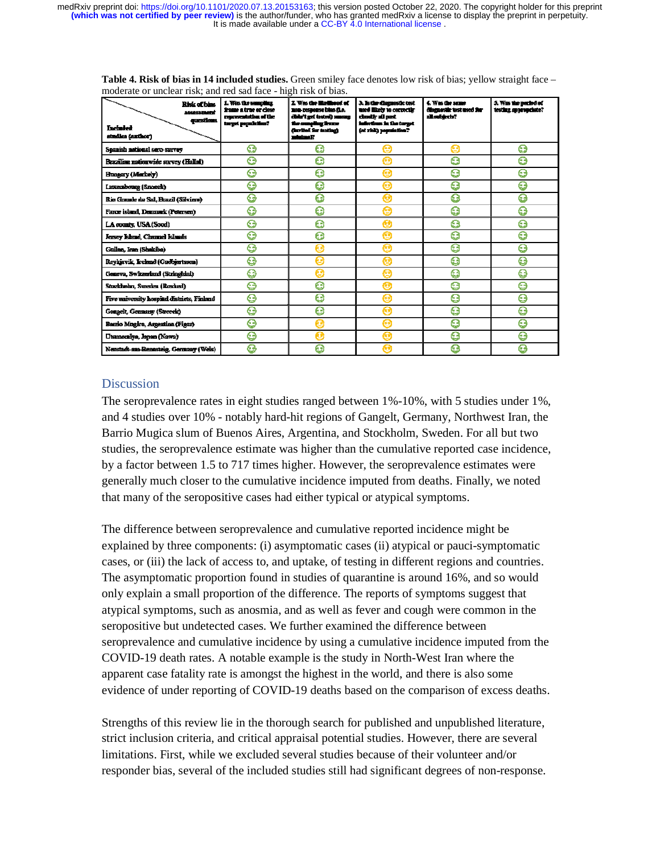| Risk of bias<br>assessment<br><i>questions</i><br><b>Included</b><br>studies čanthori | 1. Was the sampling<br>frame a true er close<br>resements that of the<br>target population? | 2. Was the Hollband of<br>non-respectse blue d.e.<br>distrit get testes); amount<br>the sungling frame<br>durched for testings<br>maladina 17 | 3. Is the diamentic test<br>used likely to correctly<br>classify all past<br>infections in the turget<br>(of risk) papulation? | 4. Was the same<br>diamastic ust used for<br>all subjects. | 5. Was the period of<br>testing appropriate? |
|---------------------------------------------------------------------------------------|---------------------------------------------------------------------------------------------|-----------------------------------------------------------------------------------------------------------------------------------------------|--------------------------------------------------------------------------------------------------------------------------------|------------------------------------------------------------|----------------------------------------------|
| Spanish national sero-survey                                                          | ☺                                                                                           | O                                                                                                                                             |                                                                                                                                | e                                                          | ☺                                            |
| Brazilian nationwide survey (Hallal)                                                  | Θ                                                                                           | Θ                                                                                                                                             | e                                                                                                                              | G                                                          | Θ                                            |
| Hungary (Merkely)                                                                     | ⊖                                                                                           | ⊕                                                                                                                                             | œ                                                                                                                              | G                                                          | Q                                            |
| Luxembourg (Snorck)                                                                   | ⊜                                                                                           | Θ                                                                                                                                             | e                                                                                                                              | G                                                          | G                                            |
| Rio Grande du Sul, Brazil (Silviera)                                                  | ⊝                                                                                           | Θ                                                                                                                                             | Θ                                                                                                                              | G                                                          | Θ                                            |
| Farce island, Demmark (Petersen)                                                      | ☺                                                                                           | ⊕                                                                                                                                             | e                                                                                                                              | G                                                          | ⊕                                            |
| LA counts, USA (Sood)                                                                 | ☺                                                                                           | 0                                                                                                                                             | Q                                                                                                                              | g                                                          | ⊖                                            |
| Jersey Island, Channel Islands                                                        | ତ                                                                                           | 0                                                                                                                                             | e                                                                                                                              | G                                                          | G                                            |
| Guilan, Iran (Shakiba)                                                                | ⊖                                                                                           | Θ                                                                                                                                             | e                                                                                                                              | g                                                          | ౚ                                            |
| Reykjavik, Iceland (Gudbjætsson)                                                      | €                                                                                           | Θ                                                                                                                                             | Θ                                                                                                                              | g                                                          | g                                            |
| Geneva, Switzerland (Stringhini)                                                      | ⊜                                                                                           | o                                                                                                                                             | æ                                                                                                                              | g                                                          | g                                            |
| Stuckholm, Sweden (Roxhes)                                                            | Θ                                                                                           | Θ                                                                                                                                             | Ω                                                                                                                              | g                                                          | g                                            |
| Five university hospital districts, Finland                                           | ⊖                                                                                           | 0                                                                                                                                             | e                                                                                                                              | G                                                          | g                                            |
| Genecht Germany (Streeck)                                                             | ☺                                                                                           | Θ                                                                                                                                             | e                                                                                                                              | G                                                          | O                                            |
| Barrio Mngica, Argentina (Figar)                                                      | ⊖                                                                                           | Θ                                                                                                                                             | ഒ                                                                                                                              | G                                                          | ☺                                            |
| Utsonomiya, Japan (Nawa)                                                              | ⊖                                                                                           | ο                                                                                                                                             | n                                                                                                                              | G                                                          | a                                            |
| Nenstadt-ans-Renasteig, Germany (Wels)                                                | ⊖                                                                                           | o                                                                                                                                             |                                                                                                                                | G                                                          | ଲ                                            |

**Table 4. Risk of bias in 14 included studies.** Green smiley face denotes low risk of bias; yellow straight face – moderate or unclear risk; and red sad face - high risk of bias.

# **Discussion**

The seroprevalence rates in eight studies ranged between 1%-10%, with 5 studies under 1%, and 4 studies over 10% - notably hard-hit regions of Gangelt, Germany, Northwest Iran, the Barrio Mugica slum of Buenos Aires, Argentina, and Stockholm, Sweden. For all but two studies, the seroprevalence estimate was higher than the cumulative reported case incidence, by a factor between 1.5 to 717 times higher. However, the seroprevalence estimates were generally much closer to the cumulative incidence imputed from deaths. Finally, we noted that many of the seropositive cases had either typical or atypical symptoms.

The difference between seroprevalence and cumulative reported incidence might be explained by three components: (i) asymptomatic cases (ii) atypical or pauci-symptomatic cases, or (iii) the lack of access to, and uptake, of testing in different regions and countries. The asymptomatic proportion found in studies of quarantine is around 16%, and so would only explain a small proportion of the difference. The reports of symptoms suggest that atypical symptoms, such as anosmia, and as well as fever and cough were common in the seropositive but undetected cases. We further examined the difference between seroprevalence and cumulative incidence by using a cumulative incidence imputed from the COVID-19 death rates. A notable example is the study in North-West Iran where the apparent case fatality rate is amongst the highest in the world, and there is also some evidence of under reporting of COVID-19 deaths based on the comparison of excess deaths.

Strengths of this review lie in the thorough search for published and unpublished literature, strict inclusion criteria, and critical appraisal potential studies. However, there are several limitations. First, while we excluded several studies because of their volunteer and/or responder bias, several of the included studies still had significant degrees of non-response.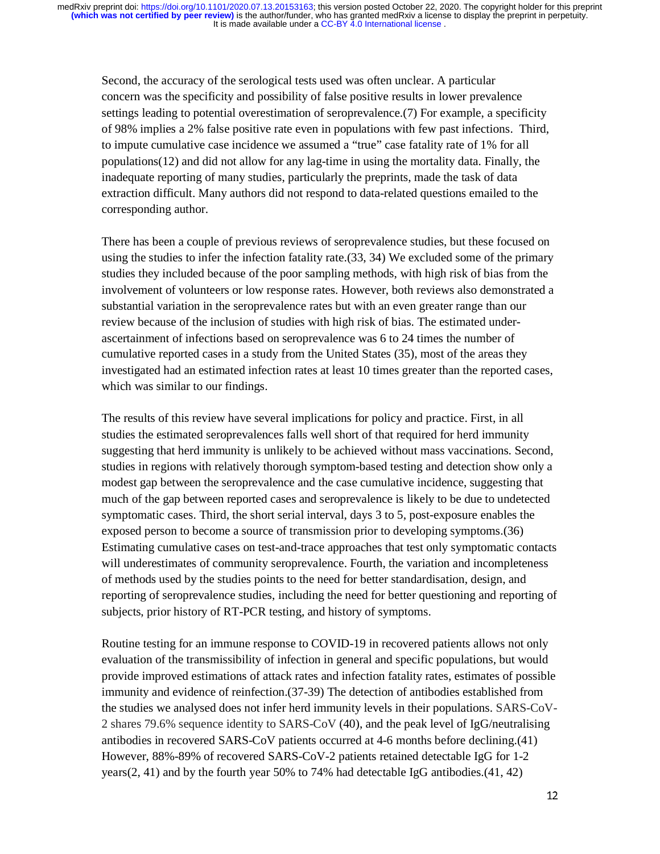Second, the accuracy of the serological tests used was often unclear. A particular concern was the specificity and possibility of false positive results in lower prevalence settings leading to potential overestimation of seroprevalence.(7) For example, a specificity of 98% implies a 2% false positive rate even in populations with few past infections. Third, to impute cumulative case incidence we assumed a "true" case fatality rate of 1% for all populations(12) and did not allow for any lag-time in using the mortality data. Finally, the inadequate reporting of many studies, particularly the preprints, made the task of data extraction difficult. Many authors did not respond to data-related questions emailed to the corresponding author.

There has been a couple of previous reviews of seroprevalence studies, but these focused on using the studies to infer the infection fatality rate.(33, 34) We excluded some of the primary studies they included because of the poor sampling methods, with high risk of bias from the involvement of volunteers or low response rates. However, both reviews also demonstrated a substantial variation in the seroprevalence rates but with an even greater range than our review because of the inclusion of studies with high risk of bias. The estimated underascertainment of infections based on seroprevalence was 6 to 24 times the number of cumulative reported cases in a study from the United States (35), most of the areas they investigated had an estimated infection rates at least 10 times greater than the reported cases, which was similar to our findings.

The results of this review have several implications for policy and practice. First, in all studies the estimated seroprevalences falls well short of that required for herd immunity suggesting that herd immunity is unlikely to be achieved without mass vaccinations. Second, studies in regions with relatively thorough symptom-based testing and detection show only a modest gap between the seroprevalence and the case cumulative incidence, suggesting that much of the gap between reported cases and seroprevalence is likely to be due to undetected symptomatic cases. Third, the short serial interval, days 3 to 5, post-exposure enables the exposed person to become a source of transmission prior to developing symptoms.(36) Estimating cumulative cases on test-and-trace approaches that test only symptomatic contacts will underestimates of community seroprevalence. Fourth, the variation and incompleteness of methods used by the studies points to the need for better standardisation, design, and reporting of seroprevalence studies, including the need for better questioning and reporting of subjects, prior history of RT-PCR testing, and history of symptoms.

Routine testing for an immune response to COVID-19 in recovered patients allows not only evaluation of the transmissibility of infection in general and specific populations, but would provide improved estimations of attack rates and infection fatality rates, estimates of possible immunity and evidence of reinfection.(37-39) The detection of antibodies established from the studies we analysed does not infer herd immunity levels in their populations. SARS-CoV-2 shares 79.6% sequence identity to SARS-CoV (40), and the peak level of IgG/neutralising antibodies in recovered SARS-CoV patients occurred at 4-6 months before declining.(41) However, 88%-89% of recovered SARS-CoV-2 patients retained detectable IgG for 1-2 years(2, 41) and by the fourth year 50% to 74% had detectable IgG antibodies.(41, 42)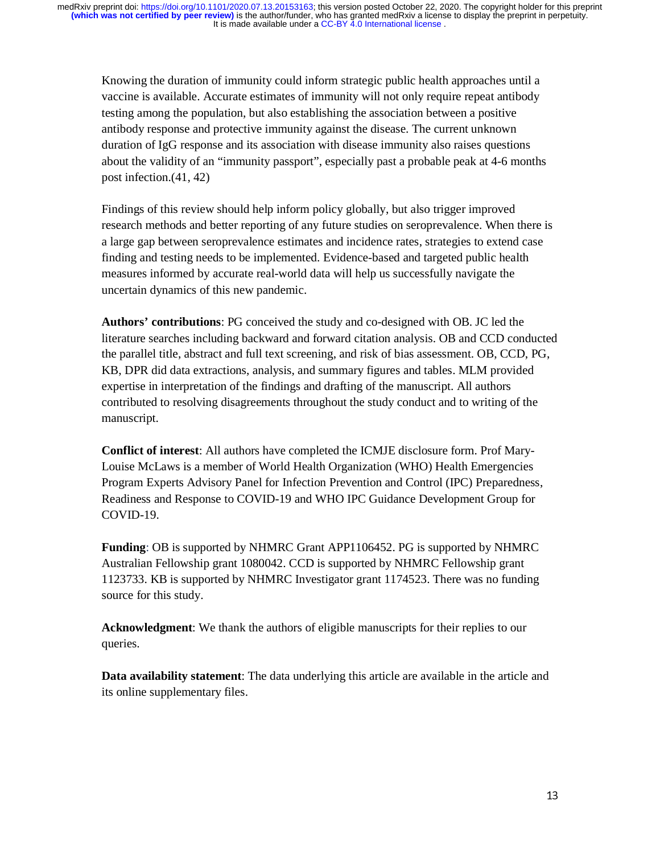Knowing the duration of immunity could inform strategic public health approaches until a vaccine is available. Accurate estimates of immunity will not only require repeat antibody testing among the population, but also establishing the association between a positive antibody response and protective immunity against the disease. The current unknown duration of IgG response and its association with disease immunity also raises questions about the validity of an "immunity passport", especially past a probable peak at 4-6 months post infection.(41, 42)

Findings of this review should help inform policy globally, but also trigger improved research methods and better reporting of any future studies on seroprevalence. When there is a large gap between seroprevalence estimates and incidence rates, strategies to extend case finding and testing needs to be implemented. Evidence-based and targeted public health measures informed by accurate real-world data will help us successfully navigate the uncertain dynamics of this new pandemic.

**Authors' contributions**: PG conceived the study and co-designed with OB. JC led the literature searches including backward and forward citation analysis. OB and CCD conducted the parallel title, abstract and full text screening, and risk of bias assessment. OB, CCD, PG, KB, DPR did data extractions, analysis, and summary figures and tables. MLM provided expertise in interpretation of the findings and drafting of the manuscript. All authors contributed to resolving disagreements throughout the study conduct and to writing of the manuscript.

**Conflict of interest**: All authors have completed the ICMJE disclosure form. Prof Mary-Louise McLaws is a member of World Health Organization (WHO) Health Emergencies Program Experts Advisory Panel for Infection Prevention and Control (IPC) Preparedness, Readiness and Response to COVID-19 and WHO IPC Guidance Development Group for COVID-19.

**Funding**: OB is supported by NHMRC Grant APP1106452. PG is supported by NHMRC Australian Fellowship grant 1080042. CCD is supported by NHMRC Fellowship grant 1123733. KB is supported by NHMRC Investigator grant 1174523. There was no funding source for this study.

**Acknowledgment**: We thank the authors of eligible manuscripts for their replies to our queries.

**Data availability statement**: The data underlying this article are available in the article and its online supplementary files.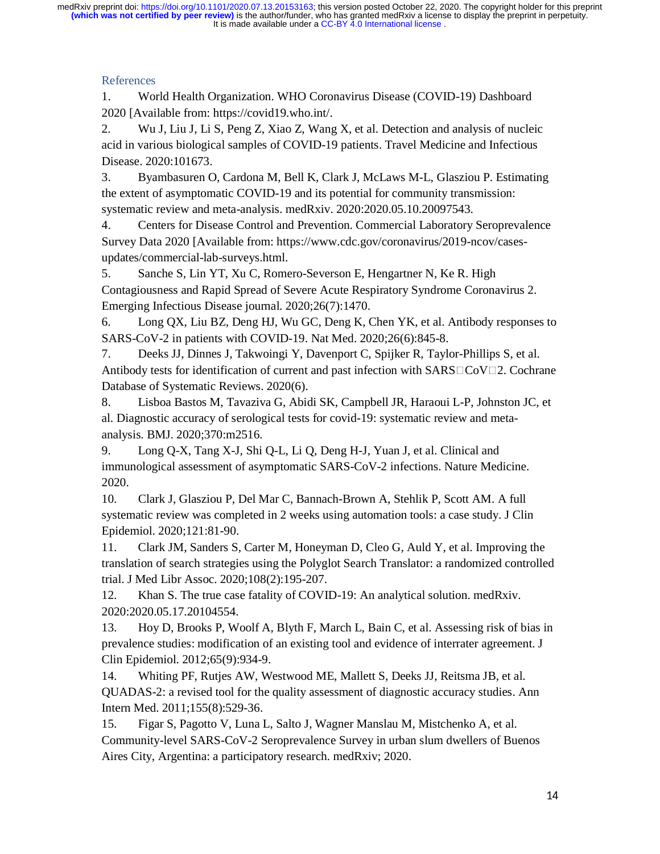# References

1. World Health Organization. WHO Coronavirus Disease (COVID-19) Dashboard 2020 [Available from: https://covid19.who.int/.

2. Wu J, Liu J, Li S, Peng Z, Xiao Z, Wang X, et al. Detection and analysis of nucleic acid in various biological samples of COVID-19 patients. Travel Medicine and Infectious Disease. 2020:101673.

3. Byambasuren O, Cardona M, Bell K, Clark J, McLaws M-L, Glasziou P. Estimating the extent of asymptomatic COVID-19 and its potential for community transmission: systematic review and meta-analysis. medRxiv. 2020:2020.05.10.20097543.

4. Centers for Disease Control and Prevention. Commercial Laboratory Seroprevalence Survey Data 2020 [Available from: https://www.cdc.gov/coronavirus/2019-ncov/casesupdates/commercial-lab-surveys.html.

5. Sanche S, Lin YT, Xu C, Romero-Severson E, Hengartner N, Ke R. High Contagiousness and Rapid Spread of Severe Acute Respiratory Syndrome Coronavirus 2. Emerging Infectious Disease journal. 2020;26(7):1470.

6. Long QX, Liu BZ, Deng HJ, Wu GC, Deng K, Chen YK, et al. Antibody responses to SARS-CoV-2 in patients with COVID-19. Nat Med. 2020;26(6):845-8.

7. Deeks JJ, Dinnes J, Takwoingi Y, Davenport C, Spijker R, Taylor-Phillips S, et al. Antibody tests for identification of current and past infection with  $SARS \Box \text{COV} \Box 2$ . Cochrane Database of Systematic Reviews. 2020(6).

8. Lisboa Bastos M, Tavaziva G, Abidi SK, Campbell JR, Haraoui L-P, Johnston JC, et al. Diagnostic accuracy of serological tests for covid-19: systematic review and metaanalysis. BMJ. 2020;370:m2516.

9. Long Q-X, Tang X-J, Shi Q-L, Li Q, Deng H-J, Yuan J, et al. Clinical and immunological assessment of asymptomatic SARS-CoV-2 infections. Nature Medicine. 2020.

10. Clark J, Glasziou P, Del Mar C, Bannach-Brown A, Stehlik P, Scott AM. A full systematic review was completed in 2 weeks using automation tools: a case study. J Clin Epidemiol. 2020;121:81-90.

11. Clark JM, Sanders S, Carter M, Honeyman D, Cleo G, Auld Y, et al. Improving the translation of search strategies using the Polyglot Search Translator: a randomized controlled trial. J Med Libr Assoc. 2020;108(2):195-207.

12. Khan S. The true case fatality of COVID-19: An analytical solution. medRxiv. 2020:2020.05.17.20104554.

13. Hoy D, Brooks P, Woolf A, Blyth F, March L, Bain C, et al. Assessing risk of bias in prevalence studies: modification of an existing tool and evidence of interrater agreement. J Clin Epidemiol. 2012;65(9):934-9.

14. Whiting PF, Rutjes AW, Westwood ME, Mallett S, Deeks JJ, Reitsma JB, et al. QUADAS-2: a revised tool for the quality assessment of diagnostic accuracy studies. Ann Intern Med. 2011;155(8):529-36.

15. Figar S, Pagotto V, Luna L, Salto J, Wagner Manslau M, Mistchenko A, et al. Community-level SARS-CoV-2 Seroprevalence Survey in urban slum dwellers of Buenos Aires City, Argentina: a participatory research. medRxiv; 2020.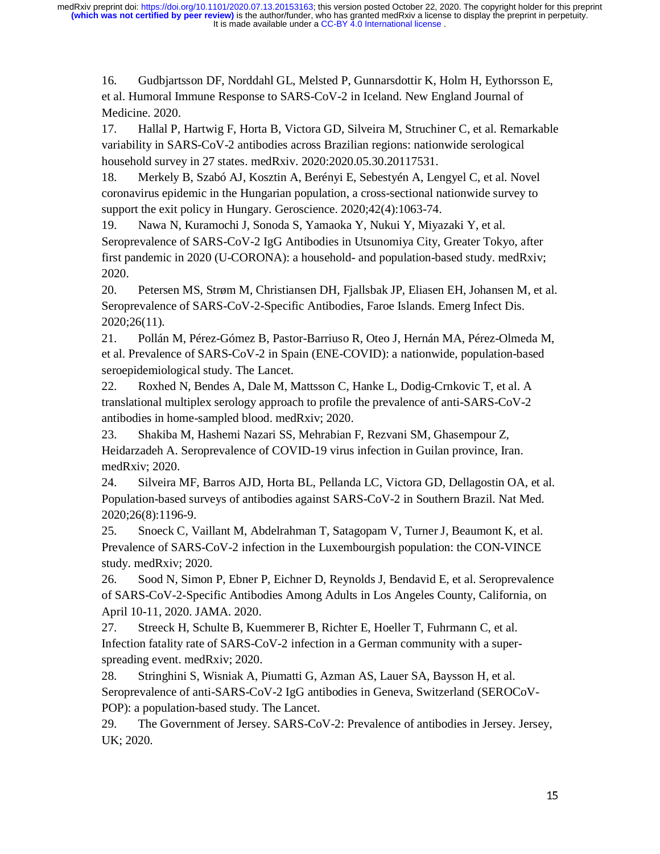16. Gudbjartsson DF, Norddahl GL, Melsted P, Gunnarsdottir K, Holm H, Eythorsson E, et al. Humoral Immune Response to SARS-CoV-2 in Iceland. New England Journal of Medicine. 2020.

17. Hallal P, Hartwig F, Horta B, Victora GD, Silveira M, Struchiner C, et al. Remarkable variability in SARS-CoV-2 antibodies across Brazilian regions: nationwide serological household survey in 27 states. medRxiv. 2020:2020.05.30.20117531.

18. Merkely B, Szabó AJ, Kosztin A, Berényi E, Sebestyén A, Lengyel C, et al. Novel coronavirus epidemic in the Hungarian population, a cross-sectional nationwide survey to support the exit policy in Hungary. Geroscience. 2020;42(4):1063-74.

19. Nawa N, Kuramochi J, Sonoda S, Yamaoka Y, Nukui Y, Miyazaki Y, et al. Seroprevalence of SARS-CoV-2 IgG Antibodies in Utsunomiya City, Greater Tokyo, after first pandemic in 2020 (U-CORONA): a household- and population-based study. medRxiv; 2020.

20. Petersen MS, Strøm M, Christiansen DH, Fjallsbak JP, Eliasen EH, Johansen M, et al. Seroprevalence of SARS-CoV-2-Specific Antibodies, Faroe Islands. Emerg Infect Dis. 2020;26(11).

21. Pollán M, Pérez-Gómez B, Pastor-Barriuso R, Oteo J, Hernán MA, Pérez-Olmeda M, et al. Prevalence of SARS-CoV-2 in Spain (ENE-COVID): a nationwide, population-based seroepidemiological study. The Lancet.

22. Roxhed N, Bendes A, Dale M, Mattsson C, Hanke L, Dodig-Crnkovic T, et al. A translational multiplex serology approach to profile the prevalence of anti-SARS-CoV-2 antibodies in home-sampled blood. medRxiv; 2020.

23. Shakiba M, Hashemi Nazari SS, Mehrabian F, Rezvani SM, Ghasempour Z, Heidarzadeh A. Seroprevalence of COVID-19 virus infection in Guilan province, Iran. medRxiv; 2020.

24. Silveira MF, Barros AJD, Horta BL, Pellanda LC, Victora GD, Dellagostin OA, et al. Population-based surveys of antibodies against SARS-CoV-2 in Southern Brazil. Nat Med. 2020;26(8):1196-9.

25. Snoeck C, Vaillant M, Abdelrahman T, Satagopam V, Turner J, Beaumont K, et al. Prevalence of SARS-CoV-2 infection in the Luxembourgish population: the CON-VINCE study. medRxiv; 2020.

26. Sood N, Simon P, Ebner P, Eichner D, Reynolds J, Bendavid E, et al. Seroprevalence of SARS-CoV-2-Specific Antibodies Among Adults in Los Angeles County, California, on April 10-11, 2020. JAMA. 2020.

27. Streeck H, Schulte B, Kuemmerer B, Richter E, Hoeller T, Fuhrmann C, et al. Infection fatality rate of SARS-CoV-2 infection in a German community with a superspreading event. medRxiv; 2020.

28. Stringhini S, Wisniak A, Piumatti G, Azman AS, Lauer SA, Baysson H, et al. Seroprevalence of anti-SARS-CoV-2 IgG antibodies in Geneva, Switzerland (SEROCoV-POP): a population-based study. The Lancet.

29. The Government of Jersey. SARS-CoV-2: Prevalence of antibodies in Jersey. Jersey, UK; 2020.